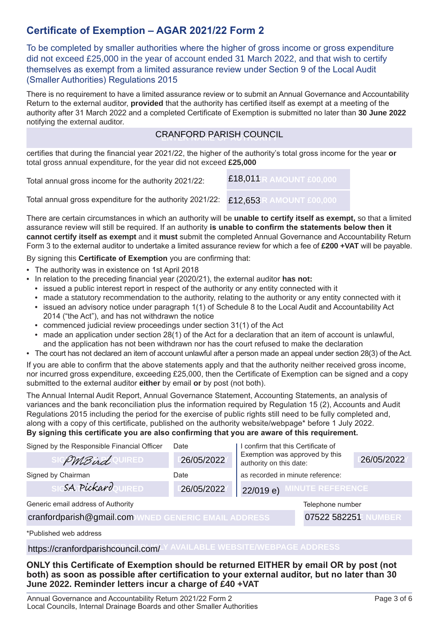#### **Certificate of Exemption – AGAR 2021/22 Form 2**

To be completed by smaller authorities where the higher of gross income or gross expenditure did not exceed £25,000 in the year of account ended 31 March 2022, and that wish to certify themselves as exempt from a limited assurance review under Section 9 of the Local Audit (Smaller Authorities) Regulations 2015

There is no requirement to have a limited assurance review or to submit an Annual Governance and Accountability Return to the external auditor, **provided** that the authority has certified itself as exempt at a meeting of the authority after 31 March 2022 and a completed Certificate of Exemption is submitted no later than **30 June 2022** notifying the external auditor.

## CRANFORD PARISH COUNCIL

certifies that during the financial year 2021/22, the higher of the authority's total gross income for the year **or** total gross annual expenditure, for the year did not exceed **£25,000**

Total annual gross income for the authority 2021/22: **ENTER AMOUNT £00,000** £18,011

Total annual gross expenditure for the authority 2021/22: **ENTER AMOUNT £00,000** £12,653

There are certain circumstances in which an authority will be **unable to certify itself as exempt,** so that a limited assurance review will still be required. If an authority **is unable to confirm the statements below then it cannot certify itself as exempt** and it **must** submit the completed Annual Governance and Accountability Return Form 3 to the external auditor to undertake a limited assurance review for which a fee of **£200 +VAT** will be payable.

By signing this **Certificate of Exemption** you are confirming that:

- The authority was in existence on 1st April 2018
- In relation to the preceding financial year (2020/21), the external auditor **has not:**
	- issued a public interest report in respect of the authority or any entity connected with it
	- made a statutory recommendation to the authority, relating to the authority or any entity connected with it
	- issued an advisory notice under paragraph 1(1) of Schedule 8 to the Local Audit and Accountability Act 2014 ("the Act"), and has not withdrawn the notice
	- commenced judicial review proceedings under section 31(1) of the Act
	- made an application under section 28(1) of the Act for a declaration that an item of account is unlawful, and the application has not been withdrawn nor has the court refused to make the declaration
- The court has not declared an item of account unlawful after a person made an appeal under section 28(3) of the Act.

If you are able to confirm that the above statements apply and that the authority neither received gross income, nor incurred gross expenditure, exceeding £25,000, then the Certificate of Exemption can be signed and a copy submitted to the external auditor **either** by email **or** by post (not both).

The Annual Internal Audit Report, Annual Governance Statement, Accounting Statements, an analysis of variances and the bank reconciliation plus the information required by Regulation 15 (2), Accounts and Audit Regulations 2015 including the period for the exercise of public rights still need to be fully completed and, along with a copy of this certificate, published on the authority website/webpage\* before 1 July 2022. **By signing this certificate you are also confirming that you are aware of this requirement.**

| Signed by the Responsible Financial Officer         | Date       | I confirm that this Certificate of<br>Exemption was approved by this<br>authority on this date: |                         |            |
|-----------------------------------------------------|------------|-------------------------------------------------------------------------------------------------|-------------------------|------------|
| <i>PMBird</i> OURED                                 | 26/05/2022 |                                                                                                 |                         | 26/05/2022 |
| Signed by Chairman                                  | Date       | as recorded in minute reference:                                                                |                         |            |
| SA PickardouIRED                                    | 26/05/2022 | 22/019 e                                                                                        | <b>MINUTE REFERENCE</b> |            |
| Generic email address of Authority                  |            |                                                                                                 | Telephone number        |            |
| cranfordparish@gmail.com WNED GENERIC EMAIL ADDRESS |            | 07522 582251                                                                                    | <b>NUMBER</b>           |            |
| *Published web address                              |            |                                                                                                 |                         |            |

**https://cranfordparishcouncil.com/**-<sup>y</sup> AVAILABLE WEBSITE/WEBPAGE ADDRESS

**ONLY this Certificate of Exemption should be returned EITHER by email OR by post (not both) as soon as possible after certification to your external auditor, but no later than 30 June 2022. Reminder letters incur a charge of £40 +VAT**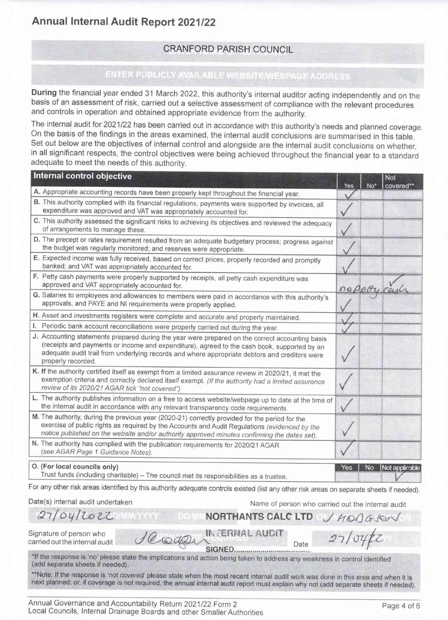# Annual Internal Audit Report 2021/22



During the financial year ended 31 March 2022, this authority's internal auditor acting independently and on the basis of an assessment of risk, carried out a selective assessment of compliance with the relevant procedures and controls in operation and obtained appropriate evidence from the authority.

The internal audit for 2021/22 has been carried out in accordance with this authority's needs and planned coverage. On the basis of the findings in the areas examined, the internal audit conclusions are summarised in this table. Set out below are the objectives of internal control and alongside are the internal audit conclusions on whether, in all significant respects, the control objectives were being achieved throughout the financial year to a standard

adequate to meet the needs of this authority.

| Internal control objective                                                                                                                                               | Yes | Not<br>covered** |
|--------------------------------------------------------------------------------------------------------------------------------------------------------------------------|-----|------------------|
| A. Appropriate accounting records have been properly kept throughout the financial year.                                                                                 |     |                  |
| B. This authority complied with its financial regulations, payments were supported by invoices, all<br>expenditure was approved and VAT was appropriately accounted for. |     |                  |
| C. This authority assessed the significant risks to achieving its objectives and reviewed the adequacy<br>of arrangements to manage these.                               |     |                  |
| D. The precept or rates requirement resulted from an adequate budgetary process; progress against<br>the budget was regularly monitored; and reserves were appropriate.  |     |                  |
| E. Expected income was fully received, based on correct prices, properly recorded and promptly<br>banked; and VAT was appropriately accounted for.                       |     |                  |
| F. Petty cash payments were properly supported by receipts, all petty cash expenditure was<br>approved and VAT appropriately accounted for.                              |     |                  |
| G. Salaries to employees and allowances to members were paid in accordance with this authority's<br>approvals, and PAYE and NI requirements were properly applied.       |     |                  |
| H. Asset and investments registers were complete and accurate and properly maintained.                                                                                   |     |                  |
|                                                                                                                                                                          |     |                  |



O. (For local councils only)

Trust funds (including charitable) - The council met its responsibilities as a trustee.

 $10$  to the  $\omega$ 



For any other risk areas identified by this authority adequate controls existed (list any other risk areas on separate sheets if needed).

IN JERNAL AUDIT

Date(s) internal audit undertaken

 $27/04/2022$ 

Name of person who carried out the internal audit

Yes

 $27/v$ 

No.

NORTHANTS CALC LTD J HOOGSON

Date

Signature of person who carried out the internal audit

\*If the response is 'no' please state the implications and action being taken to address any weakness in control identified (add separate sheets if needed).

\*\*Note: If the response is 'not covered' please state when the most recent internal audit work was done in this area and when it is next planned; or, if coverage is not required, the annual internal audit report must explain why not (add separate sheets if needed).

Annual Governance and Accountability Return 2021/22 Form 2 Local Councils, Internal Drainage Boards and other Smaller Authorities

Page 4 of 6

Not applicable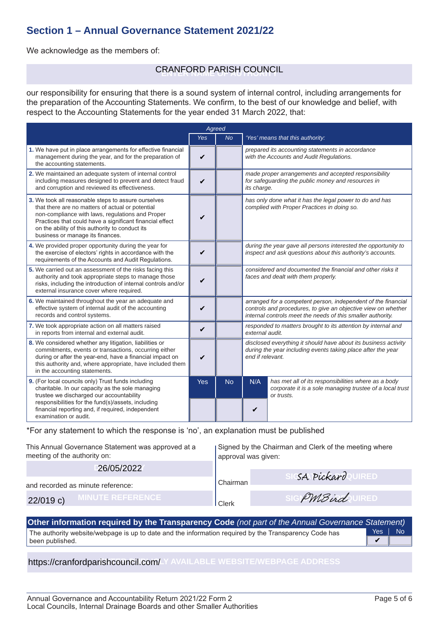#### **Section 1 – Annual Governance Statement 2021/22**

We acknowledge as the members of:

## **ENTER NAME OF AUTHORITY** CRANFORD PARISH COUNCIL

our responsibility for ensuring that there is a sound system of internal control, including arrangements for the preparation of the Accounting Statements. We confirm, to the best of our knowledge and belief, with respect to the Accounting Statements for the year ended 31 March 2022, that:

|                                                                                                                                                                                                                                                                                                                | Agreed     |           |                                                                                                                                                                                               |                                                                                                                               |
|----------------------------------------------------------------------------------------------------------------------------------------------------------------------------------------------------------------------------------------------------------------------------------------------------------------|------------|-----------|-----------------------------------------------------------------------------------------------------------------------------------------------------------------------------------------------|-------------------------------------------------------------------------------------------------------------------------------|
|                                                                                                                                                                                                                                                                                                                | <b>Yes</b> | <b>No</b> |                                                                                                                                                                                               | 'Yes' means that this authority:                                                                                              |
| 1. We have put in place arrangements for effective financial<br>management during the year, and for the preparation of<br>the accounting statements.                                                                                                                                                           | V          |           |                                                                                                                                                                                               | prepared its accounting statements in accordance<br>with the Accounts and Audit Regulations.                                  |
| 2. We maintained an adequate system of internal control<br>including measures designed to prevent and detect fraud<br>and corruption and reviewed its effectiveness.                                                                                                                                           | V          |           | its charge.                                                                                                                                                                                   | made proper arrangements and accepted responsibility<br>for safeguarding the public money and resources in                    |
| 3. We took all reasonable steps to assure ourselves<br>that there are no matters of actual or potential<br>non-compliance with laws, regulations and Proper<br>Practices that could have a significant financial effect<br>on the ability of this authority to conduct its<br>business or manage its finances. | V          |           |                                                                                                                                                                                               | has only done what it has the legal power to do and has<br>complied with Proper Practices in doing so.                        |
| 4. We provided proper opportunity during the year for<br>the exercise of electors' rights in accordance with the<br>requirements of the Accounts and Audit Regulations.                                                                                                                                        | V          |           |                                                                                                                                                                                               | during the year gave all persons interested the opportunity to<br>inspect and ask questions about this authority's accounts.  |
| 5. We carried out an assessment of the risks facing this<br>authority and took appropriate steps to manage those<br>risks, including the introduction of internal controls and/or<br>external insurance cover where required.                                                                                  | ✓          |           | considered and documented the financial and other risks it<br>faces and dealt with them properly.                                                                                             |                                                                                                                               |
| 6. We maintained throughout the year an adequate and<br>effective system of internal audit of the accounting<br>records and control systems.                                                                                                                                                                   | V          |           | arranged for a competent person, independent of the financial<br>controls and procedures, to give an objective view on whether<br>internal controls meet the needs of this smaller authority. |                                                                                                                               |
| 7. We took appropriate action on all matters raised<br>in reports from internal and external audit.                                                                                                                                                                                                            | V          |           | responded to matters brought to its attention by internal and<br>external audit.                                                                                                              |                                                                                                                               |
| 8. We considered whether any litigation, liabilities or<br>commitments, events or transactions, occurring either<br>during or after the year-end, have a financial impact on<br>this authority and, where appropriate, have included them<br>in the accounting statements.                                     | V          |           | disclosed everything it should have about its business activity<br>during the year including events taking place after the year<br>end if relevant.                                           |                                                                                                                               |
| 9. (For local councils only) Trust funds including<br>charitable. In our capacity as the sole managing<br>trustee we discharged our accountability<br>responsibilities for the fund(s)/assets, including<br>financial reporting and, if required, independent<br>examination or audit.                         | <b>Yes</b> | <b>No</b> | N/A<br>V                                                                                                                                                                                      | has met all of its responsibilities where as a body<br>corporate it is a sole managing trustee of a local trust<br>or trusts. |

\*For any statement to which the response is 'no', an explanation must be published

| This Annual Governance Statement was approved at a<br>meeting of the authority on: | approval was given: | Signed by the Chairman and Clerk of the meeting where |
|------------------------------------------------------------------------------------|---------------------|-------------------------------------------------------|
| 26/05/2022                                                                         |                     |                                                       |
| and recorded as minute reference:                                                  | Chairman            | SA Pickard UIRED                                      |
| <b>MINUTE REFERENCE!</b><br>$22/019$ c)                                            | Clerk               | PMBird URED                                           |

The authority website/webpage is up to date and the information required by the Transparency Code has been published. Yes | No **Other information required by the Transparency Code** *(not part of the Annual Governance Statement)*  $\overline{\mathbf{v}}$ 

**https://cranfordparishcouncil.com/**\_Y AVAILABLE WEBSITE/WEBPAGE ADDRESS